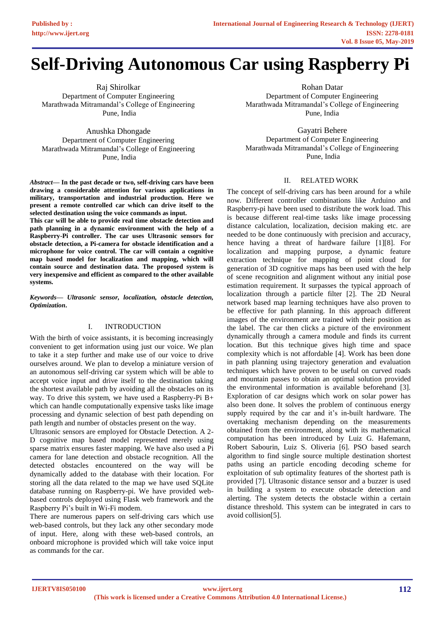# **Self-Driving Autonomous Car using Raspberry Pi**

Raj Shirolkar Department of Computer Engineering Marathwada Mitramandal's College of Engineering Pune, India

Anushka Dhongade Department of Computer Engineering Marathwada Mitramandal's College of Engineering Pune, India

*Abstract—* **In the past decade or two, self-driving cars have been drawing a considerable attention for various applications in military, transportation and industrial production. Here we present a remote controlled car which can drive itself to the selected destination using the voice commands as input.**

**This car will be able to provide real time obstacle detection and path planning in a dynamic environment with the help of a Raspberry-Pi controller. The car uses Ultrasonic sensors for obstacle detection, a Pi-camera for obstacle identification and a microphone for voice control. The car will contain a cognitive map based model for localization and mapping, which will contain source and destination data. The proposed system is very inexpensive and efficient as compared to the other available systems.**

*Keywords— Ultrasonic sensor, localization, obstacle detection, Optimization***.**

# I. INTRODUCTION

With the birth of voice assistants, it is becoming increasingly convenient to get information using just our voice. We plan to take it a step further and make use of our voice to drive ourselves around. We plan to develop a miniature version of an autonomous self-driving car system which will be able to accept voice input and drive itself to the destination taking the shortest available path by avoiding all the obstacles on its way. To drive this system, we have used a Raspberry-Pi B+ which can handle computationally expensive tasks like image processing and dynamic selection of best path depending on path length and number of obstacles present on the way.

Ultrasonic sensors are employed for Obstacle Detection. A 2- D cognitive map based model represented merely using sparse matrix ensures faster mapping. We have also used a Pi camera for lane detection and obstacle recognition. All the detected obstacles encountered on the way will be dynamically added to the database with their location. For storing all the data related to the map we have used SQLite database running on Raspberry-pi. We have provided webbased controls deployed using Flask web framework and the Raspberry Pi's built in Wi-Fi modem.

There are numerous papers on self-driving cars which use web-based controls, but they lack any other secondary mode of input. Here, along with these web-based controls, an onboard microphone is provided which will take voice input as commands for the car.

Rohan Datar

Department of Computer Engineering Marathwada Mitramandal's College of Engineering Pune, India

Gayatri Behere Department of Computer Engineering Marathwada Mitramandal's College of Engineering Pune, India

# II. RELATED WORK

The concept of self-driving cars has been around for a while now. Different controller combinations like Arduino and Raspberry-pi have been used to distribute the work load. This is because different real-time tasks like image processing distance calculation, localization, decision making etc. are needed to be done continuously with precision and accuracy, hence having a threat of hardware failure [1][8]. For localization and mapping purpose, a dynamic feature extraction technique for mapping of point cloud for generation of 3D cognitive maps has been used with the help of scene recognition and alignment without any initial pose estimation requirement. It surpasses the typical approach of localization through a particle filter [2]. The 2D Neural network based map learning techniques have also proven to be effective for path planning. In this approach different images of the environment are trained with their position as the label. The car then clicks a picture of the environment dynamically through a camera module and finds its current location. But this technique gives high time and space complexity which is not affordable [4]. Work has been done in path planning using trajectory generation and evaluation techniques which have proven to be useful on curved roads and mountain passes to obtain an optimal solution provided the environmental information is available beforehand [3]. Exploration of car designs which work on solar power has also been done. It solves the problem of continuous energy supply required by the car and it's in-built hardware. The overtaking mechanism depending on the measurements obtained from the environment, along with its mathematical computation has been introduced by Luiz G. Hafemann, Robert Sabourin, Luiz S. Oliveria [6]. PSO based search algorithm to find single source multiple destination shortest paths using an particle encoding decoding scheme for exploitation of sub optimality features of the shortest path is provided [7]. Ultrasonic distance sensor and a buzzer is used in building a system to execute obstacle detection and alerting. The system detects the obstacle within a certain distance threshold. This system can be integrated in cars to avoid collision[5].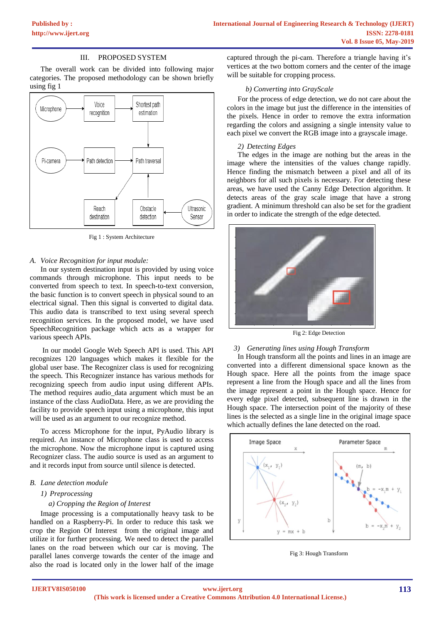# III. PROPOSED SYSTEM

The overall work can be divided into following major categories. The proposed methodology can be shown briefly using fig 1



Fig 1 : System Architecture

## *A. Voice Recognition for input module:*

In our system destination input is provided by using voice commands through microphone. This input needs to be converted from speech to text. In speech-to-text conversion, the basic function is to convert speech in physical sound to an electrical signal. Then this signal is converted to digital data. This audio data is transcribed to text using several speech recognition services. In the proposed model, we have used SpeechRecognition package which acts as a wrapper for various speech APIs.

In our model Google Web Speech API is used. This API recognizes 120 languages which makes it flexible for the global user base. The Recognizer class is used for recognizing the speech. This Recognizer instance has various methods for recognizing speech from audio input using different APIs. The method requires audio\_data argument which must be an instance of the class AudioData. Here, as we are providing the facility to provide speech input using a microphone, this input will be used as an argument to our recognize method.

To access Microphone for the input, PyAudio library is required. An instance of Microphone class is used to access the microphone. Now the microphone input is captured using Recognizer class. The audio source is used as an argument to and it records input from source until silence is detected.

## *B. Lane detection module*

#### *1) Preprocessing*

#### *a) Cropping the Region of Interest*

Image processing is a computationally heavy task to be handled on a Raspberry-Pi. In order to reduce this task we crop the Region Of Interest from the original image and utilize it for further processing. We need to detect the parallel lanes on the road between which our car is moving. The parallel lanes converge towards the center of the image and also the road is located only in the lower half of the image captured through the pi-cam. Therefore a triangle having it's vertices at the two bottom corners and the center of the image will be suitable for cropping process.

#### *b) Converting into GrayScale*

For the process of edge detection, we do not care about the colors in the image but just the difference in the intensities of the pixels. Hence in order to remove the extra information regarding the colors and assigning a single intensity value to each pixel we convert the RGB image into a grayscale image.

#### *2) Detecting Edges*

The edges in the image are nothing but the areas in the image where the intensities of the values change rapidly. Hence finding the mismatch between a pixel and all of its neighbors for all such pixels is necessary. For detecting these areas, we have used the Canny Edge Detection algorithm. It detects areas of the gray scale image that have a strong gradient. A minimum threshold can also be set for the gradient in order to indicate the strength of the edge detected.



Fig 2: Edge Detection

#### *3) Generating lines using Hough Transform*

In Hough transform all the points and lines in an image are converted into a different dimensional space known as the Hough space. Here all the points from the image space represent a line from the Hough space and all the lines from the image represent a point in the Hough space. Hence for every edge pixel detected, subsequent line is drawn in the Hough space. The intersection point of the majority of these lines is the selected as a single line in the original image space which actually defines the lane detected on the road.



Fig 3: Hough Transform